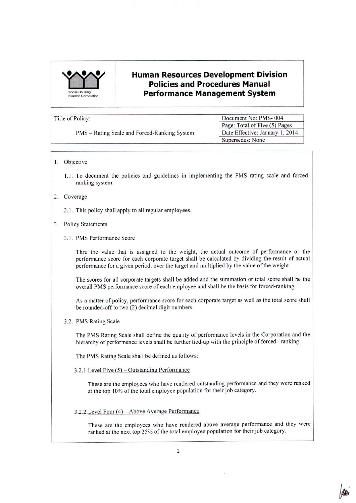

# **Human Resources Development Division Policies and Procedures Manual ration Performance Management System**

| Title of Policy:                             | Document No: PMS-004            |  |  |
|----------------------------------------------|---------------------------------|--|--|
|                                              | Page: Total of Five (5) Pages   |  |  |
| PMS - Rating Scale and Forced-Ranking System | Date Effective: January 1, 2014 |  |  |
|                                              | Supersedes: None                |  |  |

## I. Objective

1.1. To document the policies and guidelines in implementing the PMS rating scale and forcedranking system.

## 2. Coverage

2.1. This policy shall apply to all regular employees.

#### 3. Policy Statements

#### 3.1. PMS Performance Score

Thru the value that is assigned to the weight, the actual outcome of performance or the performance score for each corporate target shall be calculated by dividing the result of actual performance for a given period, over the target and multiplied by the value of the weight.

The scores for all corporate targets shall be added and the summation or total score shall be the overall PMS performance score of each employee and shall be the basis for forced-ranking.

As a matter of policy, performance score for each corporate target as well as the total score shall be rounded-off to two (2) decimal digit numbers.

3.2. PMS Rating Scale

The PMS Rating Scale shall define the quality of performance levels in the Corporation and the hierarchy of performance levels shall be further tied-up with the principle of forced -ranking.

The PMS Rating Scale shall be defined as follows:

 $3.2.1$ . Level Five  $(5)$  – Outstanding Performance

These are the employees who have rendered outstanding performance and they were ranked at the top 10% of the total employee population for their job category.

# 3.2.2.Level Four (4) - Above Average Performance

These are the employees who have rendered above average performance and they were ranked at the next top 25% of the total employee population for their job category.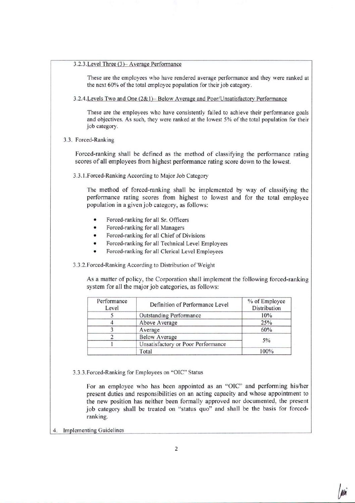# 3.2.3.Level Three (3)= Average Performance

These are the employees who have rendered average performance and they were ranked at the next 60% of the total employee population for their job category.

3.2A.Levels Two and One (2& 1)-Below Average and Poor/Unsatisfactory Performance

These are the employees who have consistently failed to achieve their performance goals and objectives. As such, they were ranked at the lowest 5% of the total population for their job category.

3.3. Forced-Ranking

Forced-ranking shall be defined as the method of classifying the performance rating scores of all employees from highest performance rating score down to the lowest.

3.3.1.Forced-Ranking According to Major Job Category

The method of forced-ranking shall be implemented by way of classifying the performance rating scores from highest to lowest and for the total employee population in a given job category, as follows:

- Forced-ranking for all Sr. Officers
- Forced-ranking for all Managers
- Forced-ranking for all Chief of Divisions
- Forced-ranking for all Technical Level Employees
- Forced-ranking for all Clerical Level Employees

3.3.2.Forced-Ranking According to Distribution of Weight

As a matter of policy, the Corporation shall implement the following forced-ranking system for all the major job categories, as follows:

| Performance<br>Level | Definition of Performance Level    | % of Employee<br>Distribution |
|----------------------|------------------------------------|-------------------------------|
|                      | Outstanding Performance            | 10%                           |
|                      | Above Average                      | 25%                           |
| Average              |                                    | 60%                           |
|                      | <b>Below Average</b>               | $5\%$                         |
|                      | Unsatisfactory or Poor Performance |                               |
|                      | Total                              | 100%                          |

3.3.3.Forced-Ranking for Employees on "OIC" Status

For an employee who has been appointed as an "OIC" and performing his/her present duties and responsibilities on an acting capacity and whose appointment to the new position has neither been formally approved nor documented, the present job category shall be treated on "status quo" and shall be the basis for forcedranking.

4. Implementing Guidelines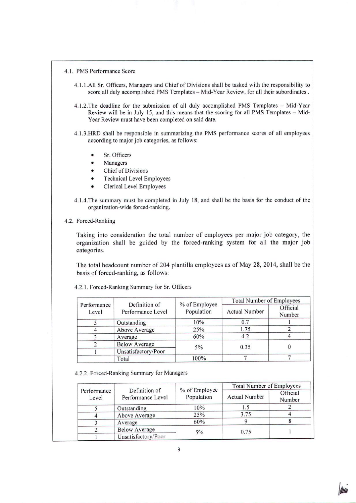- 4.1. PMS Performance Score
	- 4.1.I.AII Sr. Officers, Managers and Chief of Divisions shall be tasked with the responsibility to score all duly accomplished PMS Templates - Mid-Year Review, for all their subordinates..
	- 4.1.2. The deadline for the submission of all duly accomplished PMS Templates Mid-Year Review will be in July 15, and this means that the scoring for all PMS Templates - Mid-Year Review must have been completed on said date.
	- 4. I.3.HRD shall be responsible in summarizing the PMS performance scores of all employees according to major job categories, as follows:
		- Sr. Officers
		- **Managers**
		- Chief of Divisions
		- Technical Level Employees
		- Clerical Level Employees
	- 4.1.4. The summary must be completed in July 18, and shall be the basis for the conduct of the organization-wide forced-ranking.
- 4.2. Forced-Ranking

Taking into consideration the total number of employees per major job category, the organization shall be guided by the forced-ranking system for all the major job categories.

The total headcount number of 204 plantilla employees as of May 28, 2014, shall be the basis of forced-ranking, as follows:

|                      |                                    |                             | <b>Total Number of Employees</b> |                    |
|----------------------|------------------------------------|-----------------------------|----------------------------------|--------------------|
| Performance<br>Level | Definition of<br>Performance Level | % of Employee<br>Population | <b>Actual Number</b>             | Official<br>Number |
|                      | Outstanding                        | 10%                         | 0.7                              |                    |
|                      | Above Average                      | 25%                         | 1.75                             |                    |
|                      | Average                            | 60%                         | 4.2                              |                    |
|                      | <b>Below Average</b>               | 5%                          | 0.35                             |                    |
|                      | Unsatisfactory/Poor                |                             |                                  |                    |
|                      | Total                              | 100%                        |                                  |                    |

4.2.1. Forced-Ranking Summary for Sr. Officers

4.2.2. Forced-Ranking Summary for Managers

|                      |                                    |                             | <b>Total Number of Employees</b> |                    |
|----------------------|------------------------------------|-----------------------------|----------------------------------|--------------------|
| Performance<br>Level | Definition of<br>Performance Level | % of Employee<br>Population | <b>Actual Number</b>             | Official<br>Number |
|                      | Outstanding                        | 10%                         | 1.5                              |                    |
|                      | Above Average                      | 25%                         | 3.75                             |                    |
|                      | Average                            | 60%                         |                                  |                    |
|                      | <b>Below Average</b>               | $5\%$                       | 0.75                             |                    |
|                      | Unsatisfactory/Poor                |                             |                                  |                    |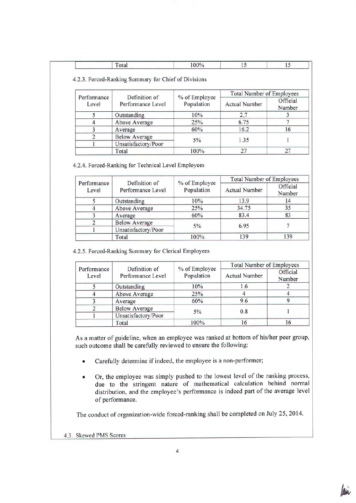|--|--|--|--|--|

4.2.3. Forced-Ranking Summary for Chief of Divisions

| Performance | Definition of        |                             | <b>Total Number of Employees</b> |                    |
|-------------|----------------------|-----------------------------|----------------------------------|--------------------|
| Level       | Performance Level    | % of Employee<br>Population | <b>Actual Number</b>             | Official<br>Number |
|             | Outstanding          | 10%                         | 2.7                              |                    |
|             | Above Average        | 25%                         | 6.75                             |                    |
|             | Average              | 60%                         | 16.2                             | 16                 |
|             | <b>Below Average</b> | 5%                          | 1.35                             |                    |
|             | Unsatisfactory/Poor  |                             |                                  |                    |
|             | Total                | 100%                        | 27                               |                    |

4.2.4. Forced-Ranking for Technical Level Employees

|                      |                                    |                             | <b>Total Number of Employees</b> |                    |
|----------------------|------------------------------------|-----------------------------|----------------------------------|--------------------|
| Performance<br>Level | Definition of<br>Performance Level | % of Employee<br>Population | <b>Actual Number</b>             | Official<br>Number |
|                      | Outstanding                        | 10%                         | 13.9                             | 14                 |
|                      | Above Average                      | 25%                         | 34.75                            | 35                 |
|                      | Average                            | 60%                         | 83.4                             | 83                 |
|                      | <b>Below Average</b>               |                             | 6.95                             |                    |
|                      | Unsatisfactory/Poor                | $5\%$                       |                                  |                    |
|                      | Total                              | 100%                        | 139                              | 139                |

4.2.5. Forced-Ranking Summary for Clerical Employees

|                      |                                    |                             | <b>Total Number of Employees</b> |                    |
|----------------------|------------------------------------|-----------------------------|----------------------------------|--------------------|
| Performance<br>Level | Definition of<br>Performance Level | % of Employee<br>Population | <b>Actual Number</b>             | Official<br>Number |
|                      | Outstanding                        | 10%                         | 1.6                              |                    |
|                      | Above Average                      | 25%                         |                                  |                    |
|                      | Average                            | 60%                         | 9.6                              |                    |
|                      | <b>Below Average</b>               |                             | 0.8                              |                    |
|                      | Unsatisfactory/Poor                | $5\%$                       |                                  |                    |
|                      | Total                              | 100%                        | 16                               | 16                 |

As a matter of guideline, when an employee was ranked at bottom of his/her peer group, such outcome shall be carefully reviewed to ensure the following:

- Carefully determine if indeed, the employee is a non-performer;
- Or, the employee was simply pushed to the lowest level of the ranking process, due to the stringent nature of mathematical calculation behind normal distribution, and the employee's performance is indeed part of the average level of performance.

The conduct of organization-wide forced-ranking shall be completed on July 25, 2014.

4.3. SkewedPMS Scores